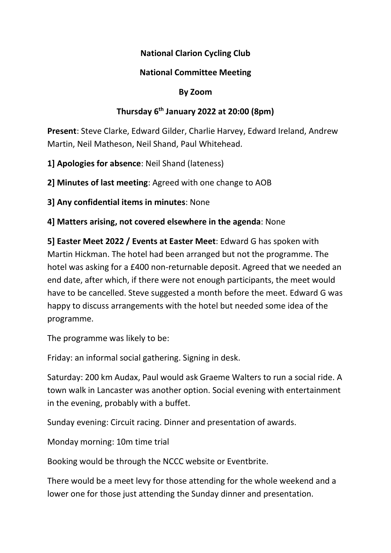## National Clarion Cycling Club

## National Committee Meeting

#### By Zoom

### Thursday  $6<sup>th</sup>$  January 2022 at 20:00 (8pm)

Present: Steve Clarke, Edward Gilder, Charlie Harvey, Edward Ireland, Andrew Martin, Neil Matheson, Neil Shand, Paul Whitehead.

1] Apologies for absence: Neil Shand (lateness)

2] Minutes of last meeting: Agreed with one change to AOB

3] Any confidential items in minutes: None

4] Matters arising, not covered elsewhere in the agenda: None

5] Easter Meet 2022 / Events at Easter Meet: Edward G has spoken with Martin Hickman. The hotel had been arranged but not the programme. The hotel was asking for a £400 non-returnable deposit. Agreed that we needed an end date, after which, if there were not enough participants, the meet would have to be cancelled. Steve suggested a month before the meet. Edward G was happy to discuss arrangements with the hotel but needed some idea of the programme.

The programme was likely to be:

Friday: an informal social gathering. Signing in desk.

Saturday: 200 km Audax, Paul would ask Graeme Walters to run a social ride. A town walk in Lancaster was another option. Social evening with entertainment in the evening, probably with a buffet.

Sunday evening: Circuit racing. Dinner and presentation of awards.

Monday morning: 10m time trial

Booking would be through the NCCC website or Eventbrite.

There would be a meet levy for those attending for the whole weekend and a lower one for those just attending the Sunday dinner and presentation.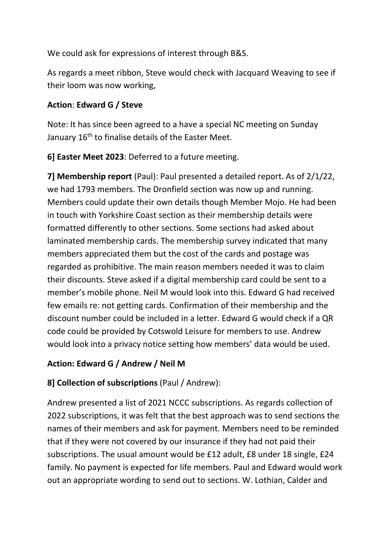We could ask for expressions of interest through B&S.

As regards a meet ribbon, Steve would check with Jacquard Weaving to see if their loom was now working,

## Action: Edward G / Steve

Note: It has since been agreed to a have a special NC meeting on Sunday January 16<sup>th</sup> to finalise details of the Easter Meet.

6] Easter Meet 2023: Deferred to a future meeting.

7] Membership report (Paul): Paul presented a detailed report. As of 2/1/22, we had 1793 members. The Dronfield section was now up and running. Members could update their own details though Member Mojo. He had been in touch with Yorkshire Coast section as their membership details were formatted differently to other sections. Some sections had asked about laminated membership cards. The membership survey indicated that many members appreciated them but the cost of the cards and postage was regarded as prohibitive. The main reason members needed it was to claim their discounts. Steve asked if a digital membership card could be sent to a member's mobile phone. Neil M would look into this. Edward G had received few emails re: not getting cards. Confirmation of their membership and the discount number could be included in a letter. Edward G would check if a QR code could be provided by Cotswold Leisure for members to use. Andrew would look into a privacy notice setting how members' data would be used.

## Action: Edward G / Andrew / Neil M

## 8] Collection of subscriptions (Paul / Andrew):

Andrew presented a list of 2021 NCCC subscriptions. As regards collection of 2022 subscriptions, it was felt that the best approach was to send sections the names of their members and ask for payment. Members need to be reminded that if they were not covered by our insurance if they had not paid their subscriptions. The usual amount would be £12 adult, £8 under 18 single, £24 family. No payment is expected for life members. Paul and Edward would work out an appropriate wording to send out to sections. W. Lothian, Calder and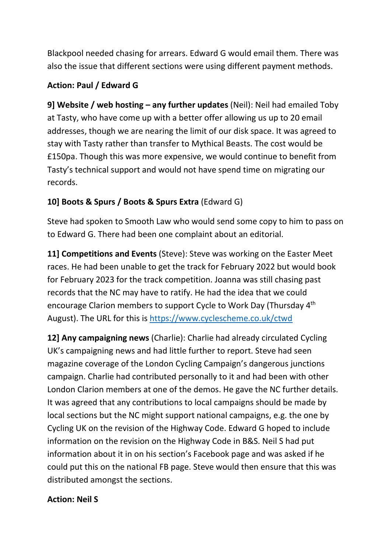Blackpool needed chasing for arrears. Edward G would email them. There was also the issue that different sections were using different payment methods.

## Action: Paul / Edward G

9] Website / web hosting – any further updates (Neil): Neil had emailed Toby at Tasty, who have come up with a better offer allowing us up to 20 email addresses, though we are nearing the limit of our disk space. It was agreed to stay with Tasty rather than transfer to Mythical Beasts. The cost would be £150pa. Though this was more expensive, we would continue to benefit from Tasty's technical support and would not have spend time on migrating our records.

## 10] Boots & Spurs / Boots & Spurs Extra (Edward G)

Steve had spoken to Smooth Law who would send some copy to him to pass on to Edward G. There had been one complaint about an editorial.

11] Competitions and Events (Steve): Steve was working on the Easter Meet races. He had been unable to get the track for February 2022 but would book for February 2023 for the track competition. Joanna was still chasing past records that the NC may have to ratify. He had the idea that we could encourage Clarion members to support Cycle to Work Day (Thursday 4th August). The URL for this is https://www.cyclescheme.co.uk/ctwd

12] Any campaigning news (Charlie): Charlie had already circulated Cycling UK's campaigning news and had little further to report. Steve had seen magazine coverage of the London Cycling Campaign's dangerous junctions campaign. Charlie had contributed personally to it and had been with other London Clarion members at one of the demos. He gave the NC further details. It was agreed that any contributions to local campaigns should be made by local sections but the NC might support national campaigns, e.g. the one by Cycling UK on the revision of the Highway Code. Edward G hoped to include information on the revision on the Highway Code in B&S. Neil S had put information about it in on his section's Facebook page and was asked if he could put this on the national FB page. Steve would then ensure that this was distributed amongst the sections.

## Action: Neil S